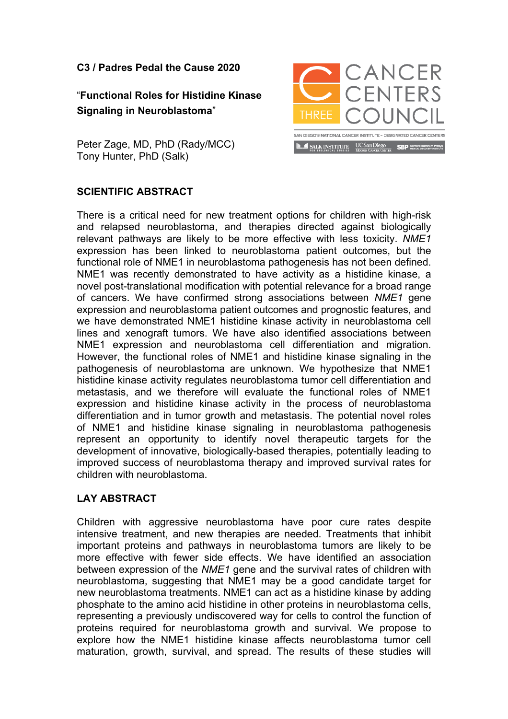**C3 / Padres Pedal the Cause 2020** 

## "**Functional Roles for Histidine Kinase Signaling in Neuroblastoma**"

Peter Zage, MD, PhD (Rady/MCC) Tony Hunter, PhD (Salk)

## **SCIENTIFIC ABSTRACT**

There is a critical need for new treatment options for children with high-risk and relapsed neuroblastoma, and therapies directed against biologically relevant pathways are likely to be more effective with less toxicity. *NME1*  expression has been linked to neuroblastoma patient outcomes, but the functional role of NME1 in neuroblastoma pathogenesis has not been defined. NME1 was recently demonstrated to have activity as a histidine kinase, a novel post-translational modification with potential relevance for a broad range of cancers. We have confirmed strong associations between *NME1* gene expression and neuroblastoma patient outcomes and prognostic features, and we have demonstrated NME1 histidine kinase activity in neuroblastoma cell lines and xenograft tumors. We have also identified associations between NME1 expression and neuroblastoma cell differentiation and migration. However, the functional roles of NME1 and histidine kinase signaling in the pathogenesis of neuroblastoma are unknown. We hypothesize that NME1 histidine kinase activity regulates neuroblastoma tumor cell differentiation and metastasis, and we therefore will evaluate the functional roles of NME1 expression and histidine kinase activity in the process of neuroblastoma differentiation and in tumor growth and metastasis. The potential novel roles of NME1 and histidine kinase signaling in neuroblastoma pathogenesis represent an opportunity to identify novel therapeutic targets for the development of innovative, biologically-based therapies, potentially leading to improved success of neuroblastoma therapy and improved survival rates for children with neuroblastoma.

## **LAY ABSTRACT**

Children with aggressive neuroblastoma have poor cure rates despite intensive treatment, and new therapies are needed. Treatments that inhibit important proteins and pathways in neuroblastoma tumors are likely to be more effective with fewer side effects. We have identified an association between expression of the *NME1* gene and the survival rates of children with neuroblastoma, suggesting that NME1 may be a good candidate target for new neuroblastoma treatments. NME1 can act as a histidine kinase by adding phosphate to the amino acid histidine in other proteins in neuroblastoma cells, representing a previously undiscovered way for cells to control the function of proteins required for neuroblastoma growth and survival. We propose to explore how the NME1 histidine kinase affects neuroblastoma tumor cell maturation, growth, survival, and spread. The results of these studies will